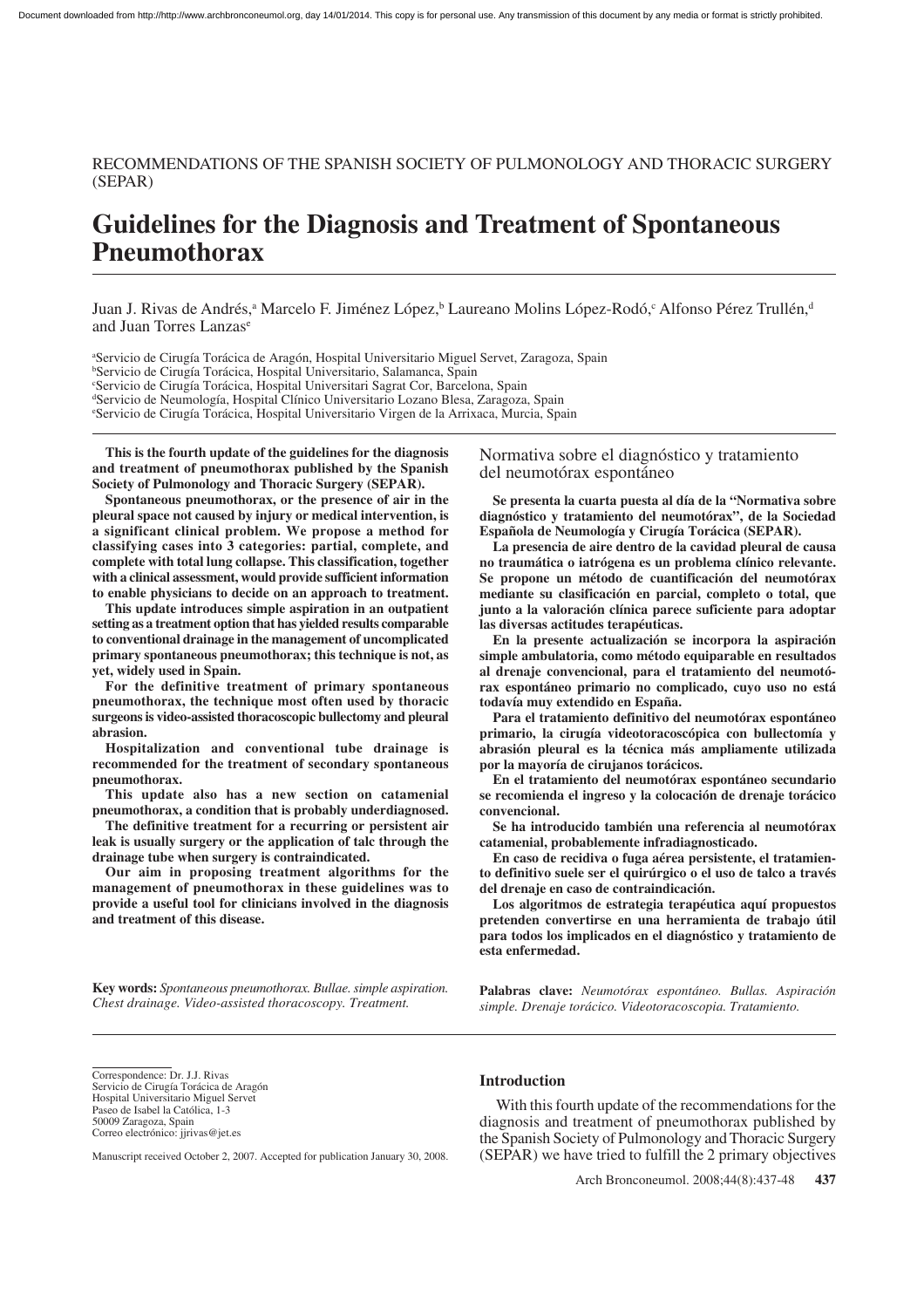## RECOMMENDATIONS OF THE SPANISH SOCIETY OF PULMONOLOGY AND THORACIC SURGERY (SEPAR)

# **Guidelines for the Diagnosis and Treatment of Spontaneous Pneumothorax**

Juan J. Rivas de Andrés,<sup>a</sup> Marcelo F. Jiménez López,<sup>b</sup> Laureano Molins López-Rodó,<sup>c</sup> Alfonso Pérez Trullén,<sup>d</sup> and Juan Torres Lanzase

a Servicio de Cirugía Torácica de Aragón, Hospital Universitario Miguel Servet, Zaragoza, Spain b Servicio de Cirugía Torácica, Hospital Universitario, Salamanca, Spain c Servicio de Cirugía Torácica, Hospital Universitari Sagrat Cor, Barcelona, Spain d Servicio de Neumología, Hospital Clínico Universitario Lozano Blesa, Zaragoza, Spain e Servicio de Cirugía Torácica, Hospital Universitario Virgen de la Arrixaca, Murcia, Spain

**This is the fourth update of the guidelines for the diagnosis and treatment of pneumothorax published by the Spanish Society of Pulmonology and Thoracic Surgery (SEPAR).**

**Spontaneous pneumothorax, or the presence of air in the pleural space not caused by injury or medical intervention, is a significant clinical problem. We propose a method for classifying cases into 3 categories: partial, complete, and complete with total lung collapse. This classification, together with a clinical assessment, would provide sufficient information to enable physicians to decide on an approach to treatment.**

**This update introduces simple aspiration in an outpatient setting as a treatment option that has yielded results comparable to conventional drainage in the management of uncomplicated primary spontaneous pneumothorax; this technique is not, as yet, widely used in Spain.**

**For the definitive treatment of primary spontaneous pneumothorax, the technique most often used by thoracic surgeons is video-assisted thoracoscopic bullectomy and pleural abrasion.**

**Hospitalization and conventional tube drainage is recommended for the treatment of secondary spontaneous pneumothorax.**

**This update also has a new section on catamenial pneumothorax, a condition that is probably underdiagnosed.**

**The definitive treatment for a recurring or persistent air leak is usually surgery or the application of talc through the drainage tube when surgery is contraindicated.**

**Our aim in proposing treatment algorithms for the management of pneumothorax in these guidelines was to provide a useful tool for clinicians involved in the diagnosis and treatment of this disease.**

Normativa sobre el diagnóstico y tratamiento del neumotórax espontáneo

**Se presenta la cuarta puesta al día de la "Normativa sobre diagnóstico y tratamiento del neumotórax", de la Sociedad Española de Neumología y Cirugía Torácica (SEPAR).**

**La presencia de aire dentro de la cavidad pleural de causa no traumática o iatrógena es un problema clínico relevante. Se propone un método de cuantificación del neumotórax mediante su clasificación en parcial, completo o total, que junto a la valoración clínica parece suficiente para adoptar las diversas actitudes terapéuticas.**

**En la presente actualización se incorpora la aspiración simple ambulatoria, como método equiparable en resultados al drenaje convencional, para el tratamiento del neumotórax espontáneo primario no complicado, cuyo uso no está todavía muy extendido en España.**

**Para el tratamiento definitivo del neumotórax espontáneo primario, la cirugía videotoracoscópica con bullectomía y abrasión pleural es la técnica más ampliamente utilizada por la mayoría de cirujanos torácicos.**

**En el tratamiento del neumotórax espontáneo secundario se recomienda el ingreso y la colocación de drenaje torácico convencional.** 

**Se ha introducido también una referencia al neumotórax catamenial, probablemente infradiagnosticado.**

**En caso de recidiva o fuga aérea persistente, el tratamiento definitivo suele ser el quirúrgico o el uso de talco a través del drenaje en caso de contraindicación.**

**Los algoritmos de estrategia terapéutica aquí propuestos pretenden convertirse en una herramienta de trabajo útil para todos los implicados en el diagnóstico y tratamiento de esta enfermedad.**

**Key words:** *Spontaneous pneumothorax. Bullae. simple aspiration. Chest drainage. Video-assisted thoracoscopy. Treatment.*

**Palabras clave:** *Neumotórax espontáneo. Bullas. Aspiración simple. Drenaje torácico. Videotoracoscopia. Tratamiento.*

Correspondence: Dr. J.J. Rivas Servicio de Cirugía Torácica de Aragón Hospital Universitario Miguel Servet Paseo de Isabel la Católica, 1-3 50009 Zaragoza, Spain Correo electrónico: jjrivas@jet.es

Manuscript received October 2, 2007. Accepted for publication January 30, 2008.

**Introduction**

With this fourth update of the recommendations for the diagnosis and treatment of pneumothorax published by the Spanish Society of Pulmonology and Thoracic Surgery (SEPAR) we have tried to fulfill the 2 primary objectives

Arch Bronconeumol. 2008;44(8):437-48 **437**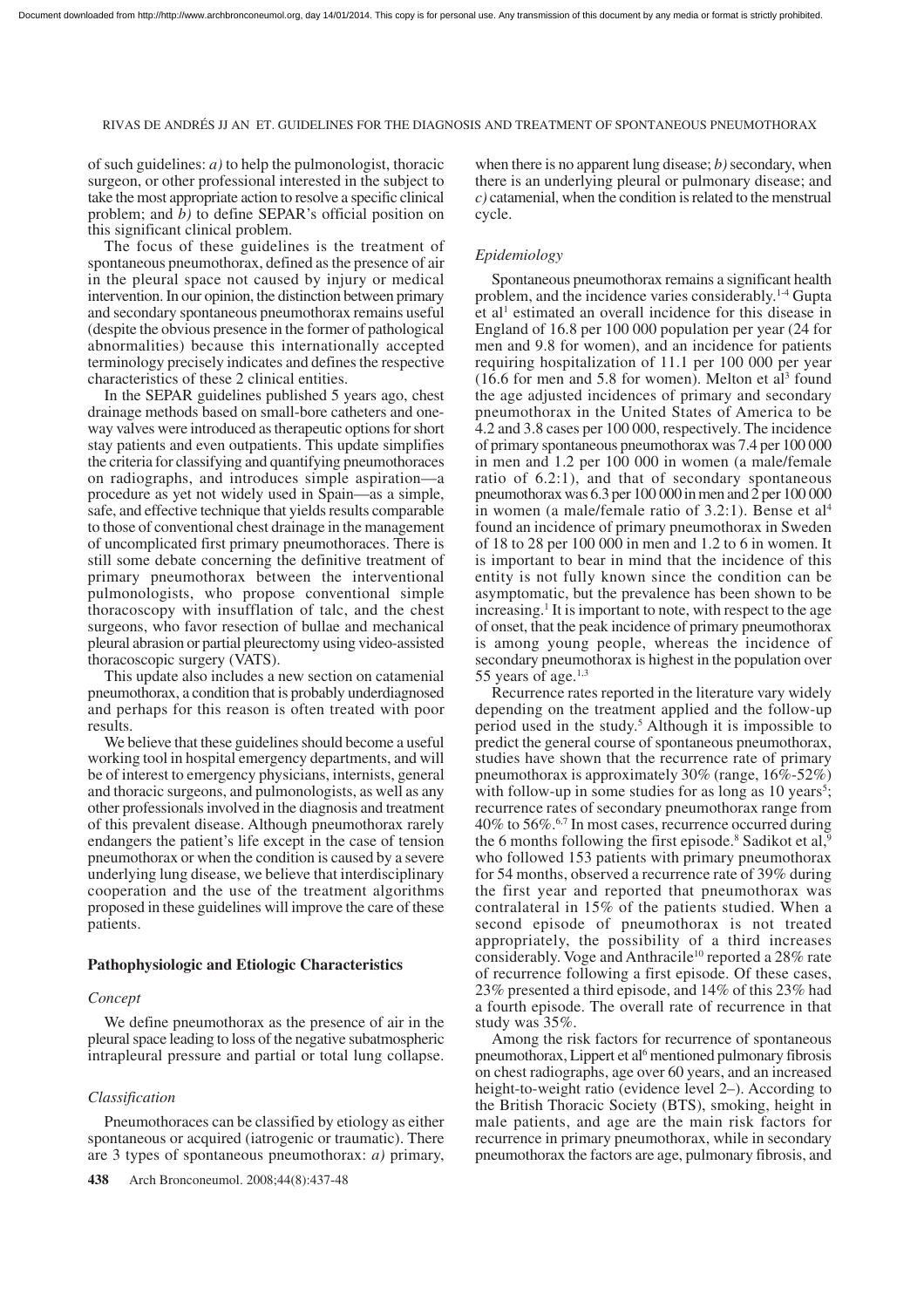of such guidelines: *a)* to help the pulmonologist, thoracic surgeon, or other professional interested in the subject to take the most appropriate action to resolve a specific clinical problem; and *b)* to define SEPAR's official position on this significant clinical problem.

The focus of these guidelines is the treatment of spontaneous pneumothorax, defined as the presence of air in the pleural space not caused by injury or medical intervention. In our opinion, the distinction between primary and secondary spontaneous pneumothorax remains useful (despite the obvious presence in the former of pathological abnormalities) because this internationally accepted terminology precisely indicates and defines the respective characteristics of these 2 clinical entities.

In the SEPAR guidelines published 5 years ago, chest drainage methods based on small-bore catheters and oneway valves were introduced as therapeutic options for short stay patients and even outpatients. This update simplifies the criteria for classifying and quantifying pneumothoraces on radiographs, and introduces simple aspiration—a procedure as yet not widely used in Spain—as a simple, safe, and effective technique that yields results comparable to those of conventional chest drainage in the management of uncomplicated first primary pneumothoraces. There is still some debate concerning the definitive treatment of primary pneumothorax between the interventional pulmonologists, who propose conventional simple thoracoscopy with insufflation of talc, and the chest surgeons, who favor resection of bullae and mechanical pleural abrasion or partial pleurectomy using video-assisted thoracoscopic surgery (VATS).

This update also includes a new section on catamenial pneumothorax, a condition that is probably underdiagnosed and perhaps for this reason is often treated with poor results.

We believe that these guidelines should become a useful working tool in hospital emergency departments, and will be of interest to emergency physicians, internists, general and thoracic surgeons, and pulmonologists, as well as any other professionals involved in the diagnosis and treatment of this prevalent disease. Although pneumothorax rarely endangers the patient's life except in the case of tension pneumothorax or when the condition is caused by a severe underlying lung disease, we believe that interdisciplinary cooperation and the use of the treatment algorithms proposed in these guidelines will improve the care of these patients.

#### **Pathophysiologic and Etiologic Characteristics**

#### *Concept*

We define pneumothorax as the presence of air in the pleural space leading to loss of the negative subatmospheric intrapleural pressure and partial or total lung collapse.

## *Classification*

Pneumothoraces can be classified by etiology as either spontaneous or acquired (iatrogenic or traumatic). There are 3 types of spontaneous pneumothorax: *a)* primary, when there is no apparent lung disease;  $b$ ) secondary, when there is an underlying pleural or pulmonary disease; and *c)* catamenial, when the condition is related to the menstrual cycle.

#### *Epidemiology*

Spontaneous pneumothorax remains a significant health problem, and the incidence varies considerably.1-4 Gupta et al1 estimated an overall incidence for this disease in England of 16.8 per 100 000 population per year (24 for men and 9.8 for women), and an incidence for patients requiring hospitalization of 11.1 per 100 000 per year  $(16.6$  for men and 5.8 for women). Melton et al<sup>3</sup> found the age adjusted incidences of primary and secondary pneumothorax in the United States of America to be 4.2 and 3.8 cases per 100 000, respectively. The incidence of primary spontaneous pneumothorax was 7.4 per 100 000 in men and 1.2 per 100 000 in women (a male/female ratio of 6.2:1), and that of secondary spontaneous pneumothorax was 6.3 per 100 000 in men and 2 per 100 000 in women (a male/female ratio of 3.2:1). Bense et al<sup>4</sup> found an incidence of primary pneumothorax in Sweden of 18 to 28 per 100 000 in men and 1.2 to 6 in women. It is important to bear in mind that the incidence of this entity is not fully known since the condition can be asymptomatic, but the prevalence has been shown to be increasing.<sup>1</sup> It is important to note, with respect to the age of onset, that the peak incidence of primary pneumothorax is among young people, whereas the incidence of secondary pneumothorax is highest in the population over 55 years of age. $1,3$ 

Recurrence rates reported in the literature vary widely depending on the treatment applied and the follow-up period used in the study.5 Although it is impossible to predict the general course of spontaneous pneumothorax, studies have shown that the recurrence rate of primary pneumothorax is approximately 30% (range,  $16\% - 52\%$ ) with follow-up in some studies for as long as  $10$  years<sup>5</sup>; recurrence rates of secondary pneumothorax range from 40% to 56%.6,7 In most cases, recurrence occurred during the 6 months following the first episode.<sup>8</sup> Sadikot et al,<sup>9</sup> who followed 153 patients with primary pneumothorax for 54 months, observed a recurrence rate of 39% during the first year and reported that pneumothorax was contralateral in 15% of the patients studied. When a second episode of pneumothorax is not treated appropriately, the possibility of a third increases considerably. Voge and Anthracile<sup>10</sup> reported a 28% rate of recurrence following a first episode. Of these cases, 23% presented a third episode, and 14% of this 23% had a fourth episode. The overall rate of recurrence in that study was 35%.

Among the risk factors for recurrence of spontaneous pneumothorax, Lippert et al<sup>6</sup> mentioned pulmonary fibrosis on chest radiographs, age over 60 years, and an increased height-to-weight ratio (evidence level 2–). According to the British Thoracic Society (BTS), smoking, height in male patients, and age are the main risk factors for recurrence in primary pneumothorax, while in secondary pneumothorax the factors are age, pulmonary fibrosis, and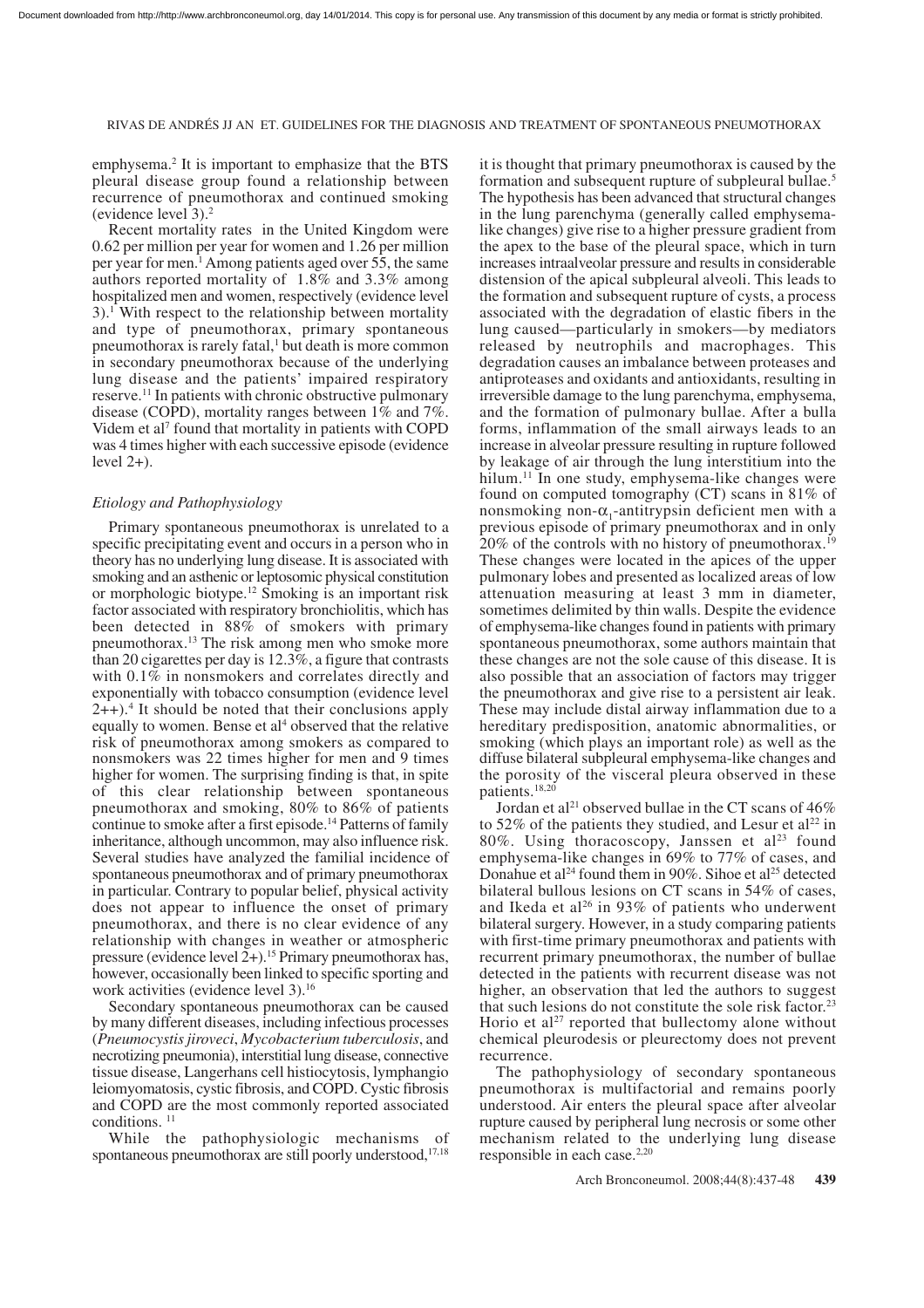emphysema.2 It is important to emphasize that the BTS pleural disease group found a relationship between recurrence of pneumothorax and continued smoking (evidence level 3).2

Recent mortality rates in the United Kingdom were 0.62 per million per year for women and 1.26 per million per year for men.1Among patients aged over 55, the same authors reported mortality of 1.8% and 3.3% among hospitalized men and women, respectively (evidence level  $3$ ).<sup>1</sup> With respect to the relationship between mortality and type of pneumothorax, primary spontaneous pneumothorax is rarely fatal,<sup>1</sup> but death is more common in secondary pneumothorax because of the underlying lung disease and the patients' impaired respiratory reserve.11 In patients with chronic obstructive pulmonary disease (COPD), mortality ranges between 1% and 7%. Videm et al<sup>7</sup> found that mortality in patients with COPD was 4 times higher with each successive episode (evidence level  $2+$ ).

#### *Etiology and Pathophysiology*

Primary spontaneous pneumothorax is unrelated to a specific precipitating event and occurs in a person who in theory has no underlying lung disease. It is associated with smoking and an asthenic or leptosomic physical constitution or morphologic biotype.12 Smoking is an important risk factor associated with respiratory bronchiolitis, which has been detected in  $88\%$  of smokers with primary pneumothorax.13 The risk among men who smoke more than 20 cigarettes per day is  $12.3\%$ , a figure that contrasts with  $0.1\%$  in nonsmokers and correlates directly and exponentially with tobacco consumption (evidence level  $2++$ ).<sup>4</sup> It should be noted that their conclusions apply equally to women. Bense et al<sup>4</sup> observed that the relative risk of pneumothorax among smokers as compared to nonsmokers was 22 times higher for men and 9 times higher for women. The surprising finding is that, in spite of this clear relationship between spontaneous pneumothorax and smoking, 80% to 86% of patients continue to smoke after a first episode.<sup>14</sup> Patterns of family inheritance, although uncommon, may also influence risk. Several studies have analyzed the familial incidence of spontaneous pneumothorax and of primary pneumothorax in particular. Contrary to popular belief, physical activity does not appear to influence the onset of primary pneumothorax, and there is no clear evidence of any relationship with changes in weather or atmospheric pressure (evidence level  $2+$ ).<sup>15</sup> Primary pneumothorax has, however, occasionally been linked to specific sporting and work activities (evidence level 3).16

Secondary spontaneous pneumothorax can be caused by many different diseases, including infectious processes (*Pneumocystis jiroveci*, *Mycobacterium tuberculosis*, and necrotizing pneumonia), interstitial lung disease, connective tissue disease, Langerhans cell histiocytosis, lymphangio leiomyomatosis, cystic fibrosis, and COPD. Cystic fibrosis and COPD are the most commonly reported associated conditions.<sup>11</sup>

While the pathophysiologic mechanisms of spontaneous pneumothorax are still poorly understood, $17,18$ 

it is thought that primary pneumothorax is caused by the formation and subsequent rupture of subpleural bullae.5 The hypothesis has been advanced that structural changes in the lung parenchyma (generally called emphysemalike changes) give rise to a higher pressure gradient from the apex to the base of the pleural space, which in turn increases intraalveolar pressure and results in considerable distension of the apical subpleural alveoli. This leads to the formation and subsequent rupture of cysts, a process associated with the degradation of elastic fibers in the lung caused—particularly in smokers—by mediators released by neutrophils and macrophages. This degradation causes an imbalance between proteases and antiproteases and oxidants and antioxidants, resulting in irreversible damage to the lung parenchyma, emphysema, and the formation of pulmonary bullae. After a bulla forms, inflammation of the small airways leads to an increase in alveolar pressure resulting in rupture followed by leakage of air through the lung interstitium into the hilum.<sup>11</sup> In one study, emphysema-like changes were found on computed tomography (CT) scans in 81% of nonsmoking non- $\alpha_1$ -antitrypsin deficient men with a previous episode of primary pneumothorax and in only 20% of the controls with no history of pneumothorax.19 These changes were located in the apices of the upper pulmonary lobes and presented as localized areas of low attenuation measuring at least 3 mm in diameter, sometimes delimited by thin walls. Despite the evidence of emphysema-like changes found in patients with primary spontaneous pneumothorax, some authors maintain that these changes are not the sole cause of this disease. It is also possible that an association of factors may trigger the pneumothorax and give rise to a persistent air leak. These may include distal airway inflammation due to a hereditary predisposition, anatomic abnormalities, or smoking (which plays an important role) as well as the diffuse bilateral subpleural emphysema-like changes and the porosity of the visceral pleura observed in these patients.<sup>18,20</sup>

Jordan et al<sup>21</sup> observed bullae in the CT scans of  $46\%$ to 52% of the patients they studied, and Lesur et al<sup>22</sup> in 80%. Using thoracoscopy, Janssen et al<sup>23</sup> found emphysema-like changes in 69% to 77% of cases, and Donahue et al<sup>24</sup> found them in 90%. Sihoe et al<sup>25</sup> detected bilateral bullous lesions on CT scans in 54% of cases, and Ikeda et al<sup>26</sup> in 93% of patients who underwent bilateral surgery. However, in a study comparing patients with first-time primary pneumothorax and patients with recurrent primary pneumothorax, the number of bullae detected in the patients with recurrent disease was not higher, an observation that led the authors to suggest that such lesions do not constitute the sole risk factor.<sup>23</sup> Horio et al<sup>27</sup> reported that bullectomy alone without chemical pleurodesis or pleurectomy does not prevent recurrence.

The pathophysiology of secondary spontaneous pneumothorax is multifactorial and remains poorly understood. Air enters the pleural space after alveolar rupture caused by peripheral lung necrosis or some other mechanism related to the underlying lung disease responsible in each case.<sup>2,20</sup>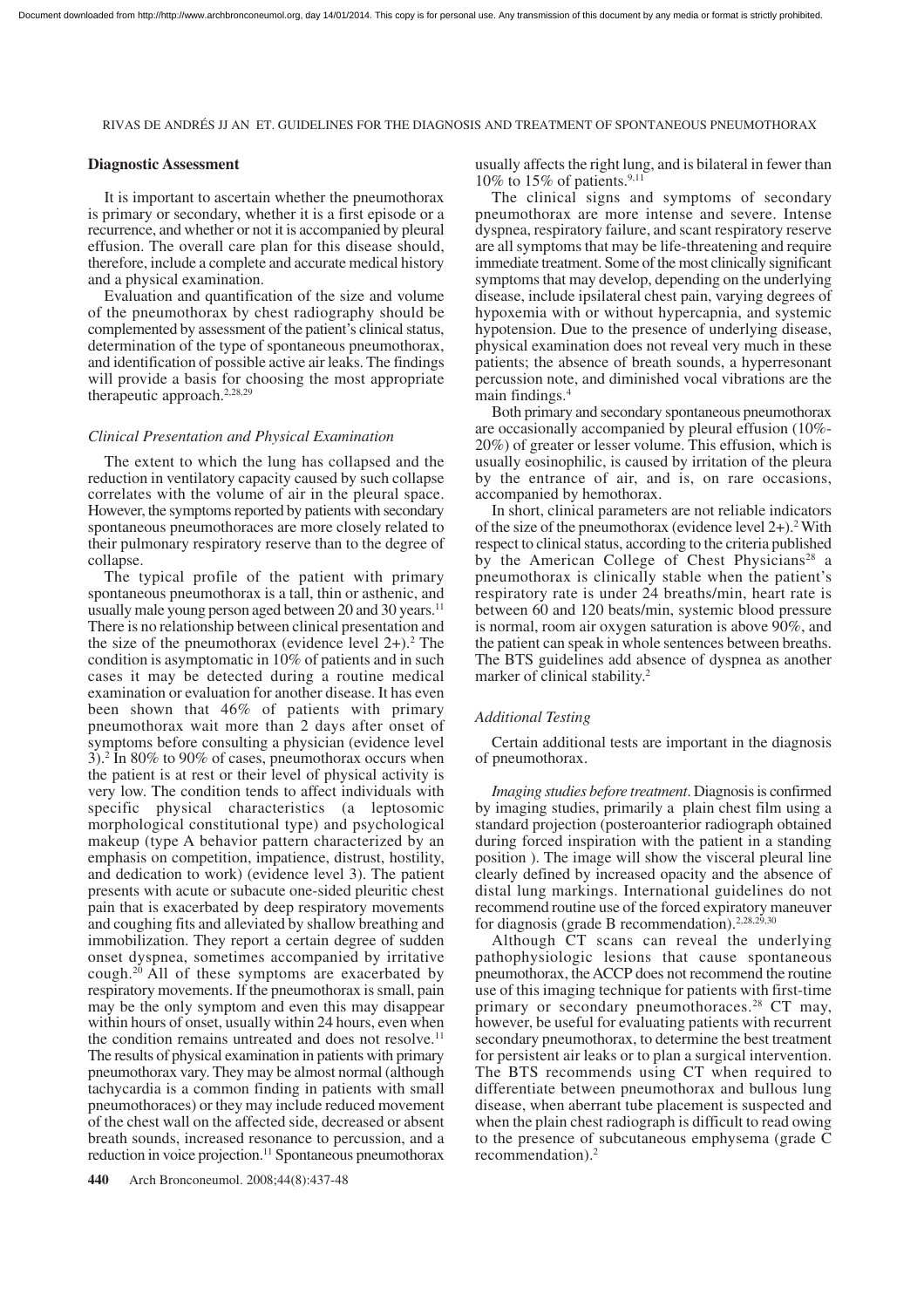#### **Diagnostic Assessment**

It is important to ascertain whether the pneumothorax is primary or secondary, whether it is a first episode or a recurrence, and whether or not it is accompanied by pleural effusion. The overall care plan for this disease should, therefore, include a complete and accurate medical history and a physical examination.

Evaluation and quantification of the size and volume of the pneumothorax by chest radiography should be complemented by assessment of the patient's clinical status, determination of the type of spontaneous pneumothorax, and identification of possible active air leaks. The findings will provide a basis for choosing the most appropriate therapeutic approach.<sup>2,28,29</sup>

#### *Clinical Presentation and Physical Examination*

The extent to which the lung has collapsed and the reduction in ventilatory capacity caused by such collapse correlates with the volume of air in the pleural space. However, the symptoms reported by patients with secondary spontaneous pneumothoraces are more closely related to their pulmonary respiratory reserve than to the degree of collapse.

The typical profile of the patient with primary spontaneous pneumothorax is a tall, thin or asthenic, and usually male young person aged between 20 and 30 years.<sup>11</sup> There is no relationship between clinical presentation and the size of the pneumothorax (evidence level  $2+$ ).<sup>2</sup> The condition is asymptomatic in 10% of patients and in such cases it may be detected during a routine medical examination or evaluation for another disease. It has even been shown that 46% of patients with primary pneumothorax wait more than 2 days after onset of symptoms before consulting a physician (evidence level 3).2 In 80% to 90% of cases, pneumothorax occurs when the patient is at rest or their level of physical activity is very low. The condition tends to affect individuals with specific physical characteristics (a leptosomic morphological constitutional type) and psychological makeup (type A behavior pattern characterized by an emphasis on competition, impatience, distrust, hostility, and dedication to work) (evidence level 3). The patient presents with acute or subacute one-sided pleuritic chest pain that is exacerbated by deep respiratory movements and coughing fits and alleviated by shallow breathing and immobilization. They report a certain degree of sudden onset dyspnea, sometimes accompanied by irritative cough.<sup>20</sup> All of these symptoms are exacerbated by respiratory movements. If the pneumothorax is small, pain may be the only symptom and even this may disappear within hours of onset, usually within 24 hours, even when the condition remains untreated and does not resolve.<sup>11</sup> The results of physical examination in patients with primary pneumothorax vary. They may be almost normal (although tachycardia is a common finding in patients with small pneumothoraces) or they may include reduced movement of the chest wall on the affected side, decreased or absent breath sounds, increased resonance to percussion, and a reduction in voice projection.<sup>11</sup> Spontaneous pneumothorax usually affects the right lung, and is bilateral in fewer than 10% to 15% of patients.9,11

The clinical signs and symptoms of secondary pneumothorax are more intense and severe. Intense dyspnea, respiratory failure, and scant respiratory reserve are all symptoms that may be life-threatening and require immediate treatment. Some of the most clinically significant symptoms that may develop, depending on the underlying disease, include ipsilateral chest pain, varying degrees of hypoxemia with or without hypercapnia, and systemic hypotension. Due to the presence of underlying disease, physical examination does not reveal very much in these patients; the absence of breath sounds, a hyperresonant percussion note, and diminished vocal vibrations are the main findings.4

Both primary and secondary spontaneous pneumothorax are occasionally accompanied by pleural effusion (10%- 20%) of greater or lesser volume. This effusion, which is usually eosinophilic, is caused by irritation of the pleura by the entrance of air, and is, on rare occasions, accompanied by hemothorax.

In short, clinical parameters are not reliable indicators of the size of the pneumothorax (evidence level  $2+$ ).<sup>2</sup> With respect to clinical status, according to the criteria published by the American College of Chest Physicians<sup>28</sup> a pneumothorax is clinically stable when the patient's respiratory rate is under 24 breaths/min, heart rate is between 60 and 120 beats/min, systemic blood pressure is normal, room air oxygen saturation is above 90%, and the patient can speak in whole sentences between breaths. The BTS guidelines add absence of dyspnea as another marker of clinical stability.<sup>2</sup>

#### *Additional Testing*

Certain additional tests are important in the diagnosis of pneumothorax.

*Imaging studies before treatment*. Diagnosis is confirmed by imaging studies, primarily a plain chest film using a standard projection (posteroanterior radiograph obtained during forced inspiration with the patient in a standing position ). The image will show the visceral pleural line clearly defined by increased opacity and the absence of distal lung markings. International guidelines do not recommend routine use of the forced expiratory maneuver for diagnosis (grade B recommendation).<sup>2,28,29,30</sup>

Although CT scans can reveal the underlying pathophysiologic lesions that cause spontaneous pneumothorax, the ACCP does not recommend the routine use of this imaging technique for patients with first-time primary or secondary pneumothoraces.28 CT may, however, be useful for evaluating patients with recurrent secondary pneumothorax, to determine the best treatment for persistent air leaks or to plan a surgical intervention. The BTS recommends using CT when required to differentiate between pneumothorax and bullous lung disease, when aberrant tube placement is suspected and when the plain chest radiograph is difficult to read owing to the presence of subcutaneous emphysema (grade C recommendation).2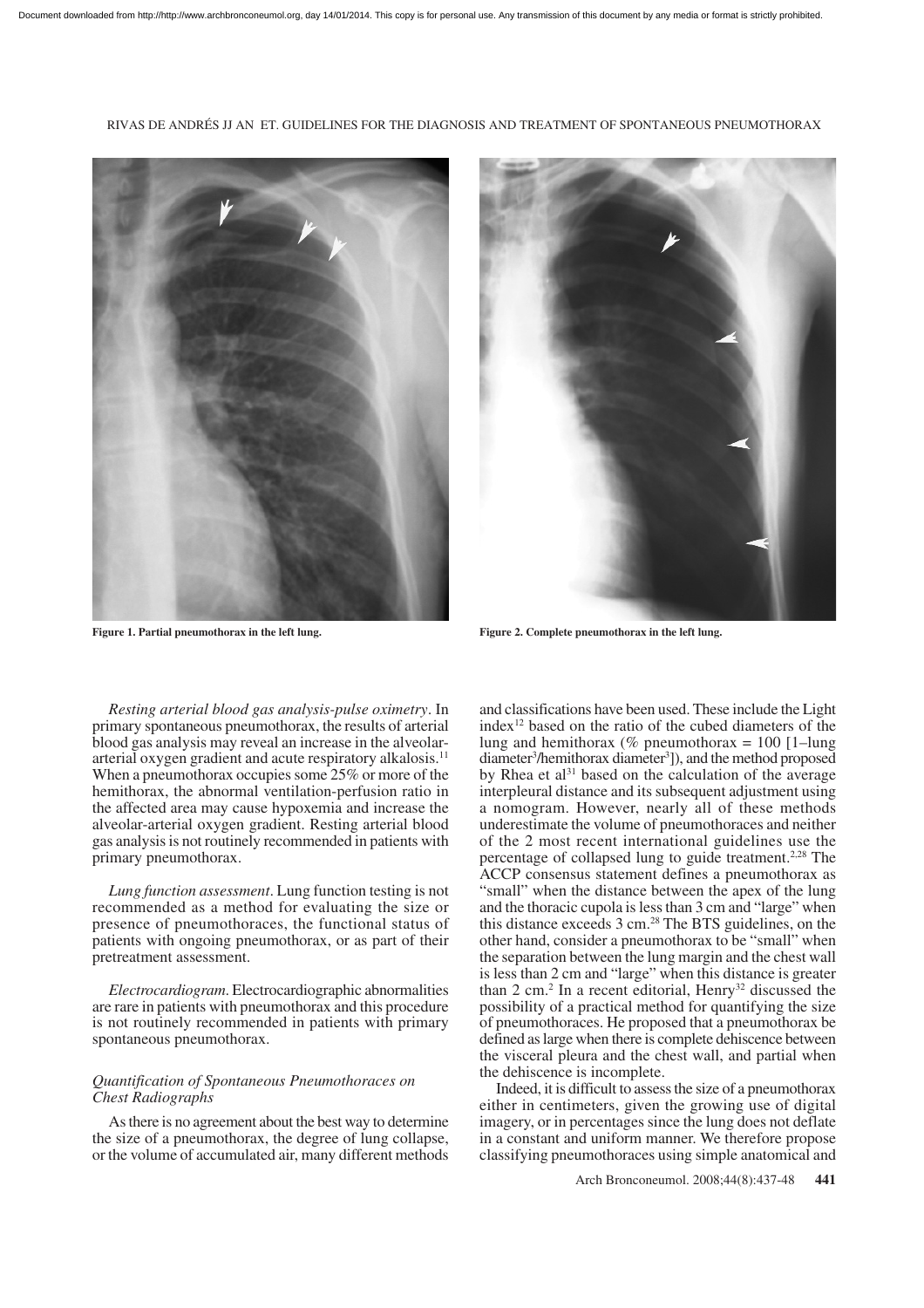



Figure 1. Partial pneumothorax in the left lung.<br>
Figure 2. Complete pneumothorax in the left lung.

*Resting arterial blood gas analysis-pulse oximetry*. In primary spontaneous pneumothorax, the results of arterial blood gas analysis may reveal an increase in the alveolararterial oxygen gradient and acute respiratory alkalosis.11 When a pneumothorax occupies some 25% or more of the hemithorax, the abnormal ventilation-perfusion ratio in the affected area may cause hypoxemia and increase the alveolar-arterial oxygen gradient. Resting arterial blood gas analysis is not routinely recommended in patients with primary pneumothorax.

*Lung function assessment*. Lung function testing is not recommended as a method for evaluating the size or presence of pneumothoraces, the functional status of patients with ongoing pneumothorax, or as part of their pretreatment assessment.

*Electrocardiogram*. Electrocardiographic abnormalities are rare in patients with pneumothorax and this procedure is not routinely recommended in patients with primary spontaneous pneumothorax.

## *Quantification of Spontaneous Pneumothoraces on Chest Radiographs*

As there is no agreement about the best way to determine the size of a pneumothorax, the degree of lung collapse, or the volume of accumulated air, many different methods and classifications have been used. These include the Light index $12$  based on the ratio of the cubed diameters of the lung and hemithorax (% pneumothorax =  $100$  [1–lung] diameter<sup>3</sup>/hemithorax diameter<sup>3</sup>]), and the method proposed by Rhea et al $31$  based on the calculation of the average interpleural distance and its subsequent adjustment using a nomogram. However, nearly all of these methods underestimate the volume of pneumothoraces and neither of the 2 most recent international guidelines use the percentage of collapsed lung to guide treatment.<sup>2,28</sup> The ACCP consensus statement defines a pneumothorax as "small" when the distance between the apex of the lung and the thoracic cupola is less than 3 cm and "large" when this distance exceeds 3 cm.28 The BTS guidelines, on the other hand, consider a pneumothorax to be "small" when the separation between the lung margin and the chest wall is less than 2 cm and "large" when this distance is greater than  $2 \text{ cm.}^2$  In a recent editorial, Henry<sup>32</sup> discussed the possibility of a practical method for quantifying the size of pneumothoraces. He proposed that a pneumothorax be defined as large when there is complete dehiscence between the visceral pleura and the chest wall, and partial when the dehiscence is incomplete.

Indeed, it is difficult to assess the size of a pneumothorax either in centimeters, given the growing use of digital imagery, or in percentages since the lung does not deflate in a constant and uniform manner. We therefore propose classifying pneumothoraces using simple anatomical and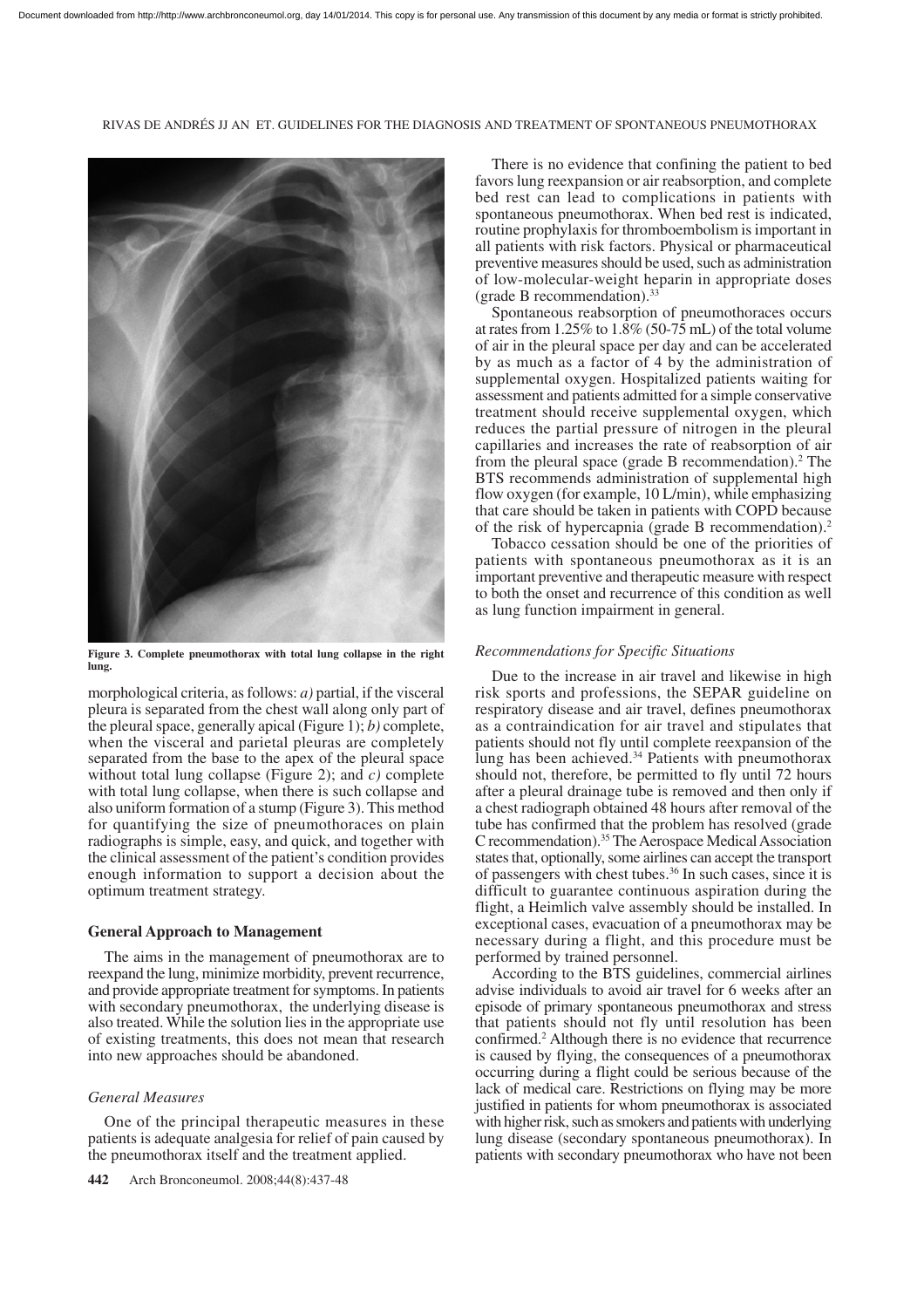

**Figure 3. Complete pneumothorax with total lung collapse in the right lung.**

morphological criteria, as follows: *a)* partial, if the visceral pleura is separated from the chest wall along only part of the pleural space, generally apical (Figure 1); *b)* complete, when the visceral and parietal pleuras are completely separated from the base to the apex of the pleural space without total lung collapse (Figure 2); and *c)* complete with total lung collapse, when there is such collapse and also uniform formation of a stump (Figure 3). This method for quantifying the size of pneumothoraces on plain radiographs is simple, easy, and quick, and together with the clinical assessment of the patient's condition provides enough information to support a decision about the optimum treatment strategy.

#### **General Approach to Management**

The aims in the management of pneumothorax are to reexpand the lung, minimize morbidity, prevent recurrence, and provide appropriate treatment for symptoms. In patients with secondary pneumothorax, the underlying disease is also treated. While the solution lies in the appropriate use of existing treatments, this does not mean that research into new approaches should be abandoned.

## *General Measures*

One of the principal therapeutic measures in these patients is adequate analgesia for relief of pain caused by the pneumothorax itself and the treatment applied.

There is no evidence that confining the patient to bed favors lung reexpansion or air reabsorption, and complete bed rest can lead to complications in patients with spontaneous pneumothorax. When bed rest is indicated, routine prophylaxis for thromboembolism is important in all patients with risk factors. Physical or pharmaceutical preventive measures should be used, such as administration of low-molecular-weight heparin in appropriate doses (grade B recommendation).<sup>3</sup>

Spontaneous reabsorption of pneumothoraces occurs at rates from 1.25% to  $1.\overline{8}\%$  (50-75 mL) of the total volume of air in the pleural space per day and can be accelerated by as much as a factor of 4 by the administration of supplemental oxygen. Hospitalized patients waiting for assessment and patients admitted for a simple conservative treatment should receive supplemental oxygen, which reduces the partial pressure of nitrogen in the pleural capillaries and increases the rate of reabsorption of air from the pleural space (grade B recommendation). $^2$  The BTS recommends administration of supplemental high flow oxygen (for example, 10 L/min), while emphasizing that care should be taken in patients with COPD because of the risk of hypercapnia (grade B recommendation).2

Tobacco cessation should be one of the priorities of patients with spontaneous pneumothorax as it is an important preventive and therapeutic measure with respect to both the onset and recurrence of this condition as well as lung function impairment in general.

#### *Recommendations for Specific Situations*

Due to the increase in air travel and likewise in high risk sports and professions, the SEPAR guideline on respiratory disease and air travel, defines pneumothorax as a contraindication for air travel and stipulates that patients should not fly until complete reexpansion of the lung has been achieved.<sup>34</sup> Patients with pneumothorax should not, therefore, be permitted to fly until 72 hours after a pleural drainage tube is removed and then only if a chest radiograph obtained 48 hours after removal of the tube has confirmed that the problem has resolved (grade C recommendation).35 The Aerospace Medical Association states that, optionally, some airlines can accept the transport of passengers with chest tubes.36 In such cases, since it is difficult to guarantee continuous aspiration during the flight, a Heimlich valve assembly should be installed. In exceptional cases, evacuation of a pneumothorax may be necessary during a flight, and this procedure must be performed by trained personnel.

According to the BTS guidelines, commercial airlines advise individuals to avoid air travel for 6 weeks after an episode of primary spontaneous pneumothorax and stress that patients should not fly until resolution has been confirmed.2 Although there is no evidence that recurrence is caused by flying, the consequences of a pneumothorax occurring during a flight could be serious because of the lack of medical care. Restrictions on flying may be more justified in patients for whom pneumothorax is associated with higher risk, such as smokers and patients with underlying lung disease (secondary spontaneous pneumothorax). In patients with secondary pneumothorax who have not been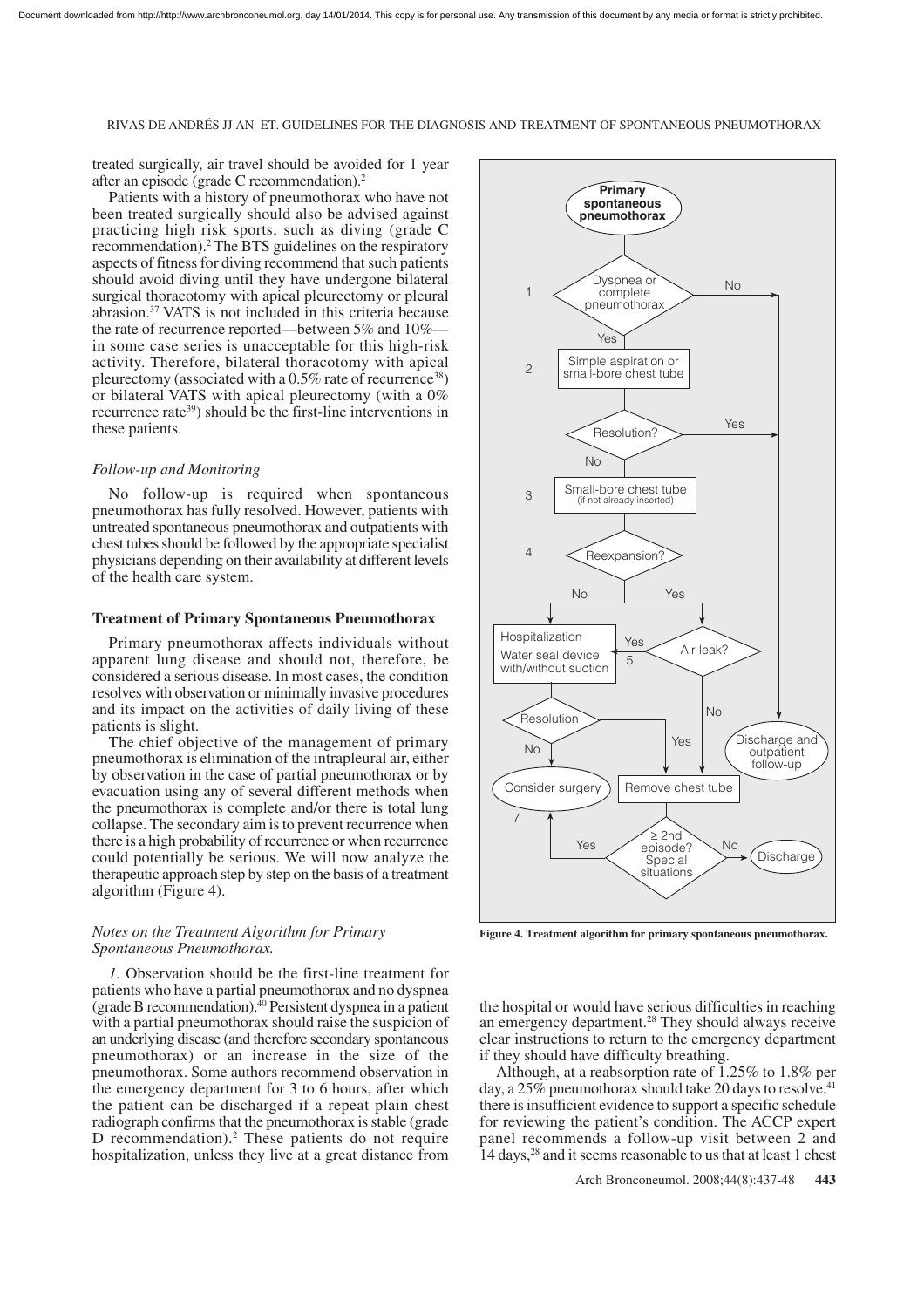treated surgically, air travel should be avoided for 1 year after an episode (grade C recommendation).2

Patients with a history of pneumothorax who have not been treated surgically should also be advised against practicing high risk sports, such as diving (grade C recommendation).2 The BTS guidelines on the respiratory aspects of fitness for diving recommend that such patients should avoid diving until they have undergone bilateral surgical thoracotomy with apical pleurectomy or pleural abrasion.37 VATS is not included in this criteria because the rate of recurrence reported—between 5% and 10%in some case series is unacceptable for this high-risk activity. Therefore, bilateral thoracotomy with apical pleurectomy (associated with a  $0.5\%$  rate of recurrence<sup>38</sup>) or bilateral VATS with apical pleurectomy (with a 0% recurrence rate<sup>39</sup>) should be the first-line interventions in these patients.

#### *Follow-up and Monitoring*

No follow-up is required when spontaneous pneumothorax has fully resolved. However, patients with untreated spontaneous pneumothorax and outpatients with chest tubes should be followed by the appropriate specialist physicians depending on their availability at different levels of the health care system.

#### **Treatment of Primary Spontaneous Pneumothorax**

Primary pneumothorax affects individuals without apparent lung disease and should not, therefore, be considered a serious disease. In most cases, the condition resolves with observation or minimally invasive procedures and its impact on the activities of daily living of these patients is slight.

The chief objective of the management of primary pneumothorax is elimination of the intrapleural air, either by observation in the case of partial pneumothorax or by evacuation using any of several different methods when the pneumothorax is complete and/or there is total lung collapse. The secondary aim is to prevent recurrence when there is a high probability of recurrence or when recurrence could potentially be serious. We will now analyze the therapeutic approach step by step on the basis of a treatment algorithm (Figure 4).

#### *Notes on the Treatment Algorithm for Primary Spontaneous Pneumothorax.*

*1.* Observation should be the first-line treatment for patients who have a partial pneumothorax and no dyspnea (grade B recommendation).40 Persistent dyspnea in a patient with a partial pneumothorax should raise the suspicion of an underlying disease (and therefore secondary spontaneous pneumothorax) or an increase in the size of the pneumothorax. Some authors recommend observation in the emergency department for 3 to 6 hours, after which the patient can be discharged if a repeat plain chest radiograph confirms that the pneumothorax is stable (grade D recommendation).2 These patients do not require hospitalization, unless they live at a great distance from



**Figure 4. Treatment algorithm for primary spontaneous pneumothorax.**

the hospital or would have serious difficulties in reaching an emergency department.<sup>28</sup> They should always receive clear instructions to return to the emergency department if they should have difficulty breathing.

Although, at a reabsorption rate of 1.25% to 1.8% per day, a  $25\%$  pneumothorax should take 20 days to resolve,  $41$ there is insufficient evidence to support a specific schedule for reviewing the patient's condition. The ACCP expert panel recommends a follow-up visit between 2 and 14 days,<sup>28</sup> and it seems reasonable to us that at least 1 chest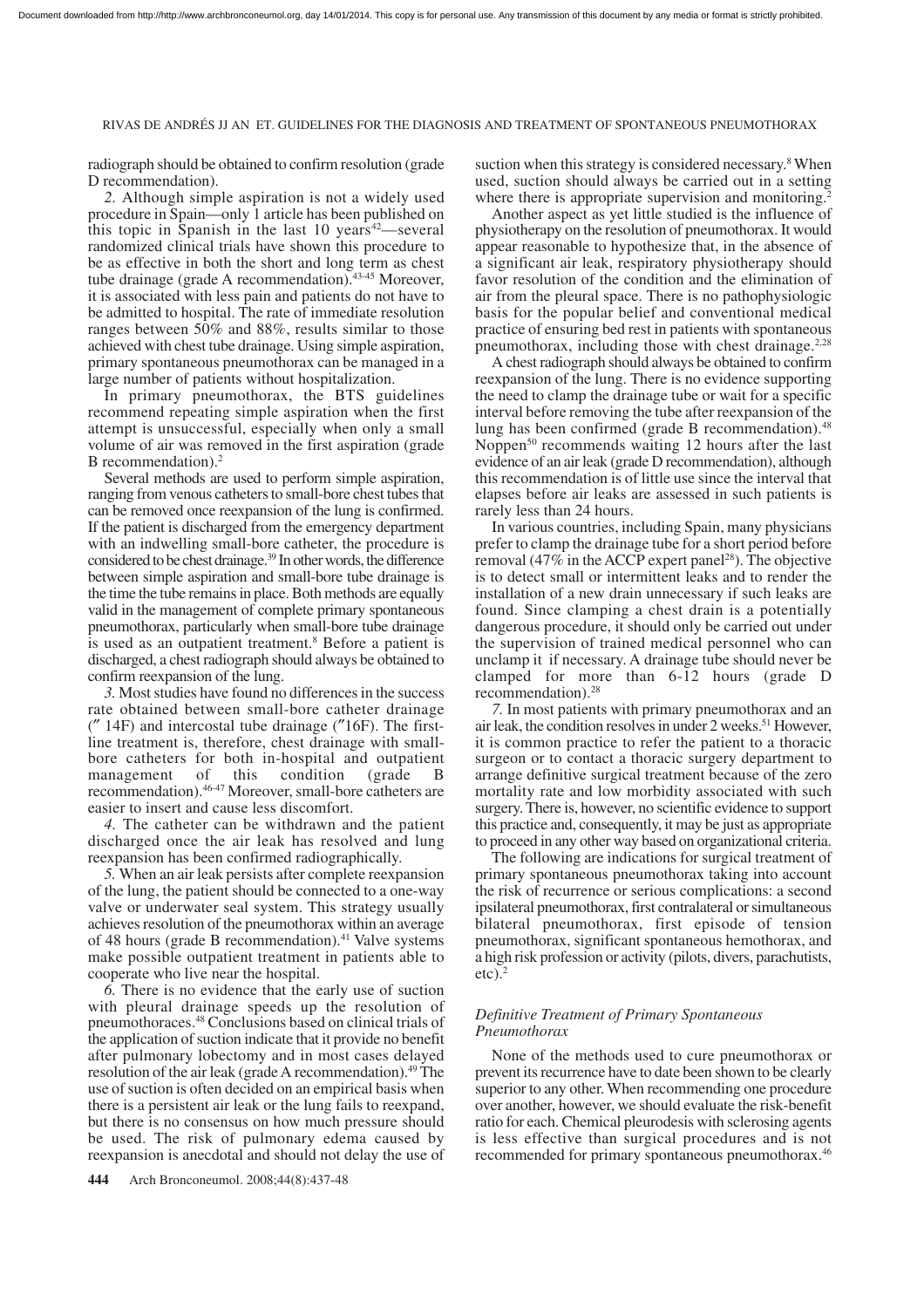radiograph should be obtained to confirm resolution (grade D recommendation).

*2.* Although simple aspiration is not a widely used procedure in Spain—only 1 article has been published on this topic in Spanish in the last  $10$  years<sup>42</sup>—several randomized clinical trials have shown this procedure to be as effective in both the short and long term as chest tube drainage (grade A recommendation).<sup>43-45</sup> Moreover, it is associated with less pain and patients do not have to be admitted to hospital. The rate of immediate resolution ranges between 50% and 88%, results similar to those achieved with chest tube drainage. Using simple aspiration, primary spontaneous pneumothorax can be managed in a large number of patients without hospitalization.

In primary pneumothorax, the BTS guidelines recommend repeating simple aspiration when the first attempt is unsuccessful, especially when only a small volume of air was removed in the first aspiration (grade B recommendation).<sup>2</sup>

Several methods are used to perform simple aspiration, ranging from venous catheters to small-bore chest tubes that can be removed once reexpansion of the lung is confirmed. If the patient is discharged from the emergency department with an indwelling small-bore catheter, the procedure is considered to be chest drainage.<sup>39</sup> In other words, the difference between simple aspiration and small-bore tube drainage is the time the tube remains in place. Both methods are equally valid in the management of complete primary spontaneous pneumothorax, particularly when small-bore tube drainage is used as an outpatient treatment.8 Before a patient is discharged, a chest radiograph should always be obtained to confirm reexpansion of the lung.

*3.* Most studies have found no differences in the success rate obtained between small-bore catheter drainage  $($ " 14F) and intercostal tube drainage  $($ "16F). The firstline treatment is, therefore, chest drainage with smallbore catheters for both in-hospital and outpatient<br>management of this condition (grade B management of this condition (grade B recommendation).46-47 Moreover, small-bore catheters are easier to insert and cause less discomfort.

*4.* The catheter can be withdrawn and the patient discharged once the air leak has resolved and lung reexpansion has been confirmed radiographically.

*5.* When an air leak persists after complete reexpansion of the lung, the patient should be connected to a one-way valve or underwater seal system. This strategy usually achieves resolution of the pneumothorax within an average of 48 hours (grade B recommendation).<sup>41</sup> Valve systems make possible outpatient treatment in patients able to cooperate who live near the hospital.

*6.* There is no evidence that the early use of suction with pleural drainage speeds up the resolution of pneumothoraces.48 Conclusions based on clinical trials of the application of suction indicate that it provide no benefit after pulmonary lobectomy and in most cases delayed resolution of the air leak (grade A recommendation).49 The use of suction is often decided on an empirical basis when there is a persistent air leak or the lung fails to reexpand, but there is no consensus on how much pressure should be used. The risk of pulmonary edema caused by reexpansion is anecdotal and should not delay the use of suction when this strategy is considered necessary.<sup>8</sup> When used, suction should always be carried out in a setting where there is appropriate supervision and monitoring.

Another aspect as yet little studied is the influence of physiotherapy on the resolution of pneumothorax. It would appear reasonable to hypothesize that, in the absence of a significant air leak, respiratory physiotherapy should favor resolution of the condition and the elimination of air from the pleural space. There is no pathophysiologic basis for the popular belief and conventional medical practice of ensuring bed rest in patients with spontaneous pneumothorax, including those with chest drainage. $2,28$ 

A chest radiograph should always be obtained to confirm reexpansion of the lung. There is no evidence supporting the need to clamp the drainage tube or wait for a specific interval before removing the tube after reexpansion of the lung has been confirmed (grade B recommendation).<sup>48</sup> Noppen<sup>50</sup> recommends waiting 12 hours after the last evidence of an air leak (grade D recommendation), although this recommendation is of little use since the interval that elapses before air leaks are assessed in such patients is rarely less than 24 hours.

In various countries, including Spain, many physicians prefer to clamp the drainage tube for a short period before removal  $(47\%$  in the ACCP expert panel<sup>28</sup>). The objective is to detect small or intermittent leaks and to render the installation of a new drain unnecessary if such leaks are found. Since clamping a chest drain is a potentially dangerous procedure, it should only be carried out under the supervision of trained medical personnel who can unclamp it if necessary. A drainage tube should never be clamped for more than 6-12 hours (grade D recommendation).28

*7.* In most patients with primary pneumothorax and an air leak, the condition resolves in under 2 weeks.<sup>51</sup> However, it is common practice to refer the patient to a thoracic surgeon or to contact a thoracic surgery department to arrange definitive surgical treatment because of the zero mortality rate and low morbidity associated with such surgery. There is, however, no scientific evidence to support this practice and, consequently, it may be just as appropriate to proceed in any other way based on organizational criteria.

The following are indications for surgical treatment of primary spontaneous pneumothorax taking into account the risk of recurrence or serious complications: a second ipsilateral pneumothorax, first contralateral or simultaneous bilateral pneumothorax, first episode of tension pneumothorax, significant spontaneous hemothorax, and a high risk profession or activity (pilots, divers, parachutists,  $etc).<sup>2</sup>$ 

## *Definitive Treatment of Primary Spontaneous Pneumothorax*

None of the methods used to cure pneumothorax or prevent its recurrence have to date been shown to be clearly superior to any other. When recommending one procedure over another, however, we should evaluate the risk-benefit ratio for each. Chemical pleurodesis with sclerosing agents is less effective than surgical procedures and is not recommended for primary spontaneous pneumothorax.46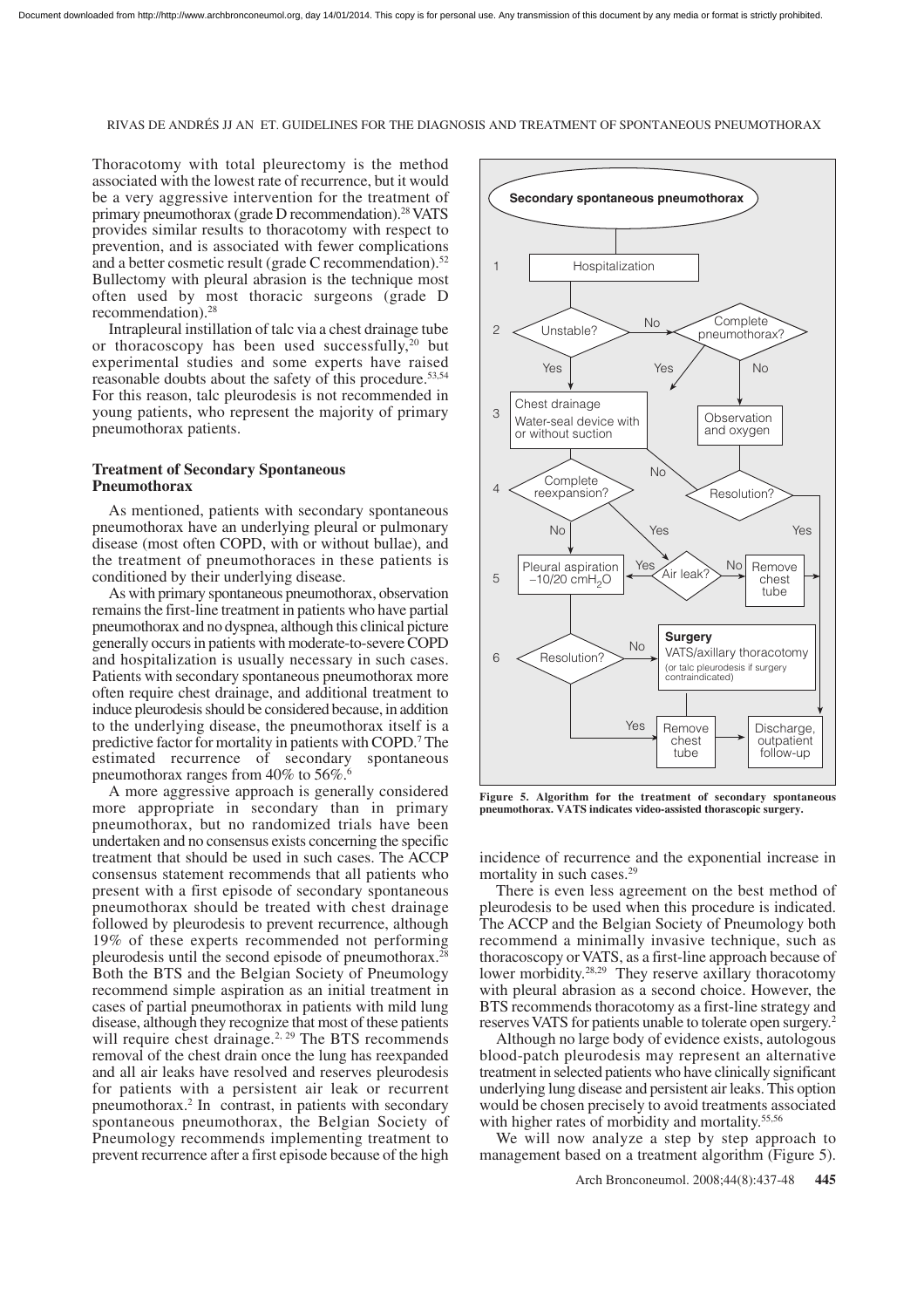Thoracotomy with total pleurectomy is the method associated with the lowest rate of recurrence, but it would be a very aggressive intervention for the treatment of primary pneumothorax (grade D recommendation).<sup>28</sup> VATS provides similar results to thoracotomy with respect to prevention, and is associated with fewer complications and a better cosmetic result (grade C recommendation). $52$ Bullectomy with pleural abrasion is the technique most often used by most thoracic surgeons (grade D recommendation).28

Intrapleural instillation of talc via a chest drainage tube or thoracoscopy has been used successfully,<sup>20</sup> but experimental studies and some experts have raised reasonable doubts about the safety of this procedure.<sup>53,54</sup> For this reason, talc pleurodesis is not recommended in young patients, who represent the majority of primary pneumothorax patients.

## **Treatment of Secondary Spontaneous Pneumothorax**

As mentioned, patients with secondary spontaneous pneumothorax have an underlying pleural or pulmonary disease (most often COPD, with or without bullae), and the treatment of pneumothoraces in these patients is conditioned by their underlying disease.

As with primary spontaneous pneumothorax, observation remains the first-line treatment in patients who have partial pneumothorax and no dyspnea, although this clinical picture generally occurs in patients with moderate-to-severe COPD and hospitalization is usually necessary in such cases. Patients with secondary spontaneous pneumothorax more often require chest drainage, and additional treatment to induce pleurodesis should be considered because, in addition to the underlying disease, the pneumothorax itself is a predictive factor for mortality in patients with COPD.7 The estimated recurrence of secondary spontaneous pneumothorax ranges from  $40\%$  to  $56\%$ .

A more aggressive approach is generally considered more appropriate in secondary than in primary pneumothorax, but no randomized trials have been undertaken and no consensus exists concerning the specific treatment that should be used in such cases. The ACCP consensus statement recommends that all patients who present with a first episode of secondary spontaneous pneumothorax should be treated with chest drainage followed by pleurodesis to prevent recurrence, although 19% of these experts recommended not performing pleurodesis until the second episode of pneumothorax.<sup>2</sup> Both the BTS and the Belgian Society of Pneumology recommend simple aspiration as an initial treatment in cases of partial pneumothorax in patients with mild lung disease, although they recognize that most of these patients will require chest drainage.<sup>2, 29</sup> The BTS recommends removal of the chest drain once the lung has reexpanded and all air leaks have resolved and reserves pleurodesis for patients with a persistent air leak or recurrent pneumothorax.2 In contrast, in patients with secondary spontaneous pneumothorax, the Belgian Society of Pneumology recommends implementing treatment to prevent recurrence after a first episode because of the high



**Figure 5. Algorithm for the treatment of secondary spontaneous pneumothorax. VATS indicates video-assisted thorascopic surgery.**

incidence of recurrence and the exponential increase in mortality in such cases.<sup>29</sup>

There is even less agreement on the best method of pleurodesis to be used when this procedure is indicated. The ACCP and the Belgian Society of Pneumology both recommend a minimally invasive technique, such as thoracoscopy or VATS, as a first-line approach because of lower morbidity.<sup>28,29</sup> They reserve axillary thoracotomy with pleural abrasion as a second choice. However, the BTS recommends thoracotomy as a first-line strategy and reserves VATS for patients unable to tolerate open surgery.2

Although no large body of evidence exists, autologous blood-patch pleurodesis may represent an alternative treatment in selected patients who have clinically significant underlying lung disease and persistent air leaks. This option would be chosen precisely to avoid treatments associated with higher rates of morbidity and mortality.55,56

We will now analyze a step by step approach to management based on a treatment algorithm (Figure 5).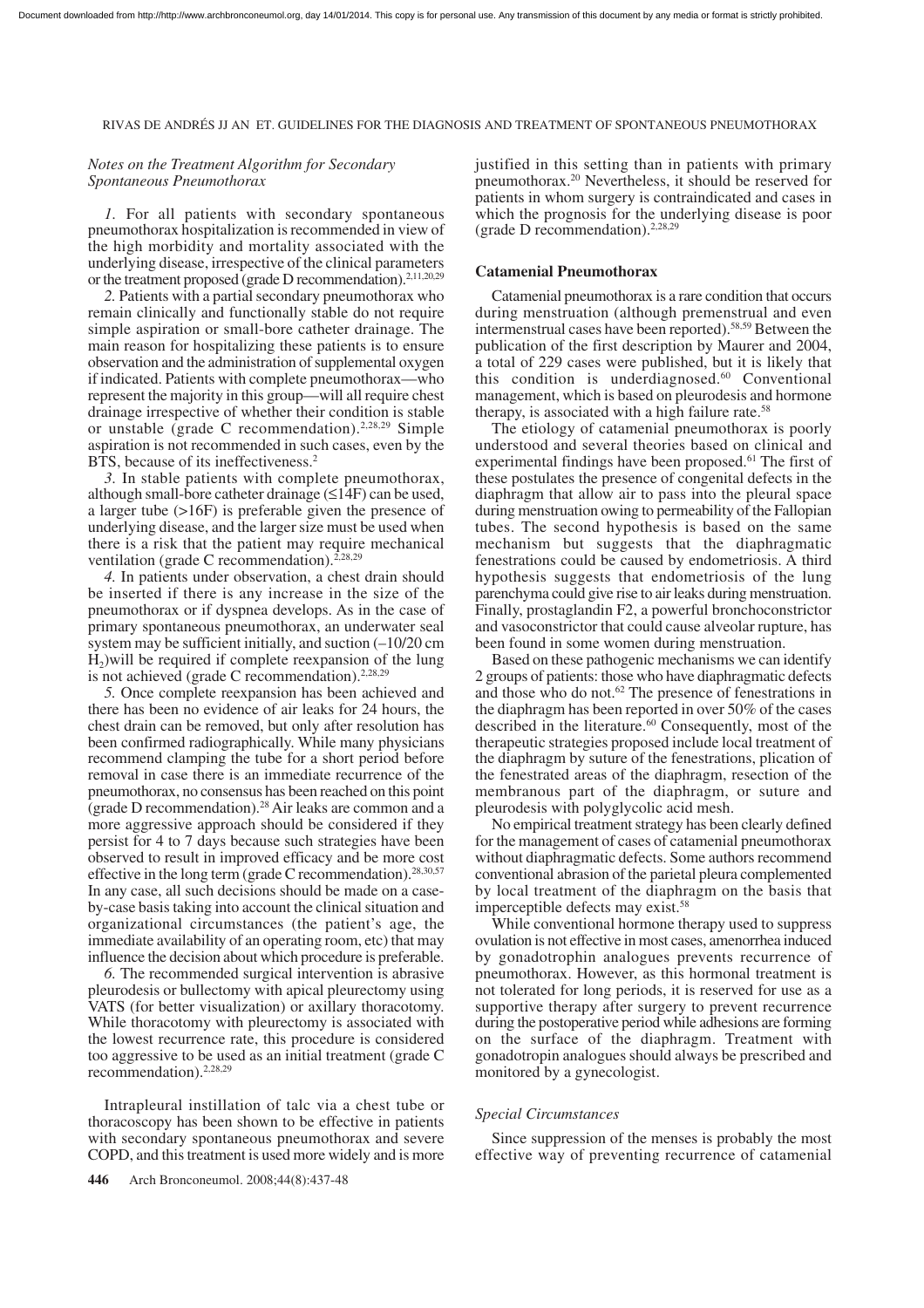## *Notes on the Treatment Algorithm for Secondary Spontaneous Pneumothorax*

*1.* For all patients with secondary spontaneous pneumothorax hospitalization is recommended in view of the high morbidity and mortality associated with the underlying disease, irrespective of the clinical parameters or the treatment proposed (grade D recommendation).2,11,20,29

*2.* Patients with a partial secondary pneumothorax who remain clinically and functionally stable do not require simple aspiration or small-bore catheter drainage. The main reason for hospitalizing these patients is to ensure observation and the administration of supplemental oxygen if indicated. Patients with complete pneumothorax—who represent the majority in this group—will all require chest drainage irrespective of whether their condition is stable or unstable (grade C recommendation).<sup>2,28,29</sup> Simple aspiration is not recommended in such cases, even by the BTS, because of its ineffectiveness.<sup>2</sup>

*3.* In stable patients with complete pneumothorax, although small-bore catheter drainage  $(\leq 14F)$  can be used, a larger tube (>16F) is preferable given the presence of underlying disease, and the larger size must be used when there is a risk that the patient may require mechanical ventilation (grade C recommendation).<sup> $2,28,29$ </sup>

*4.* In patients under observation, a chest drain should be inserted if there is any increase in the size of the pneumothorax or if dyspnea develops. As in the case of primary spontaneous pneumothorax, an underwater seal system may be sufficient initially, and suction (–10/20 cm  $H<sub>2</sub>$ )will be required if complete reexpansion of the lung is not achieved (grade C recommendation).<sup>2,28,29</sup>

*5.* Once complete reexpansion has been achieved and there has been no evidence of air leaks for 24 hours, the chest drain can be removed, but only after resolution has been confirmed radiographically. While many physicians recommend clamping the tube for a short period before removal in case there is an immediate recurrence of the pneumothorax, no consensus has been reached on this point (grade D recommendation).<sup>28</sup> Air leaks are common and a more aggressive approach should be considered if they persist for 4 to 7 days because such strategies have been observed to result in improved efficacy and be more cost effective in the long term (grade C recommendation).<sup>28,30,57</sup> In any case, all such decisions should be made on a caseby-case basis taking into account the clinical situation and organizational circumstances (the patient's age, the immediate availability of an operating room, etc) that may influence the decision about which procedure is preferable.

*6.* The recommended surgical intervention is abrasive pleurodesis or bullectomy with apical pleurectomy using VATS (for better visualization) or axillary thoracotomy. While thoracotomy with pleurectomy is associated with the lowest recurrence rate, this procedure is considered too aggressive to be used as an initial treatment (grade C recommendation).2,28,29

Intrapleural instillation of talc via a chest tube or thoracoscopy has been shown to be effective in patients with secondary spontaneous pneumothorax and severe COPD, and this treatment is used more widely and is more justified in this setting than in patients with primary pneumothorax.20 Nevertheless, it should be reserved for patients in whom surgery is contraindicated and cases in which the prognosis for the underlying disease is poor (grade  $D$  recommendation).<sup>2,28,29</sup>

#### **Catamenial Pneumothorax**

Catamenial pneumothorax is a rare condition that occurs during menstruation (although premenstrual and even intermenstrual cases have been reported).58,59 Between the publication of the first description by Maurer and 2004, a total of 229 cases were published, but it is likely that this condition is underdiagnosed.60 Conventional management, which is based on pleurodesis and hormone therapy, is associated with a high failure rate.58

The etiology of catamenial pneumothorax is poorly understood and several theories based on clinical and experimental findings have been proposed.61 The first of these postulates the presence of congenital defects in the diaphragm that allow air to pass into the pleural space during menstruation owing to permeability of the Fallopian tubes. The second hypothesis is based on the same mechanism but suggests that the diaphragmatic fenestrations could be caused by endometriosis. A third hypothesis suggests that endometriosis of the lung parenchyma could give rise to air leaks during menstruation. Finally, prostaglandin F2, a powerful bronchoconstrictor and vasoconstrictor that could cause alveolar rupture, has been found in some women during menstruation.

Based on these pathogenic mechanisms we can identify 2 groups of patients: those who have diaphragmatic defects and those who do not.62 The presence of fenestrations in the diaphragm has been reported in over 50% of the cases described in the literature.<sup>60</sup> Consequently, most of the therapeutic strategies proposed include local treatment of the diaphragm by suture of the fenestrations, plication of the fenestrated areas of the diaphragm, resection of the membranous part of the diaphragm, or suture and pleurodesis with polyglycolic acid mesh.

No empirical treatment strategy has been clearly defined for the management of cases of catamenial pneumothorax without diaphragmatic defects. Some authors recommend conventional abrasion of the parietal pleura complemented by local treatment of the diaphragm on the basis that imperceptible defects may exist.<sup>58</sup>

While conventional hormone therapy used to suppress ovulation is not effective in most cases, amenorrhea induced by gonadotrophin analogues prevents recurrence of pneumothorax. However, as this hormonal treatment is not tolerated for long periods, it is reserved for use as a supportive therapy after surgery to prevent recurrence during the postoperative period while adhesions are forming on the surface of the diaphragm. Treatment with gonadotropin analogues should always be prescribed and monitored by a gynecologist.

#### *Special Circumstances*

Since suppression of the menses is probably the most effective way of preventing recurrence of catamenial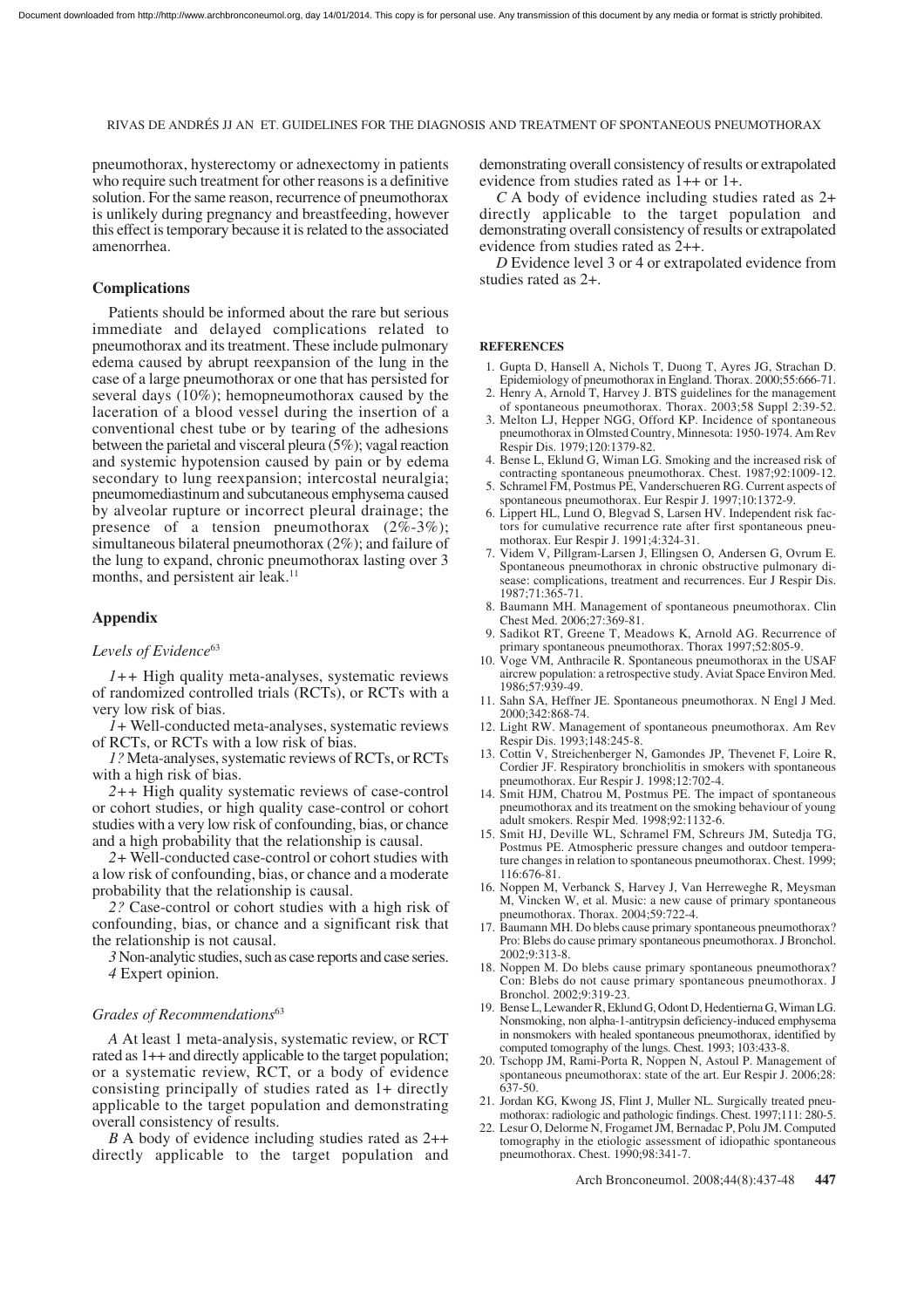pneumothorax, hysterectomy or adnexectomy in patients who require such treatment for other reasons is a definitive solution. For the same reason, recurrence of pneumothorax is unlikely during pregnancy and breastfeeding, however this effect is temporary because it is related to the associated amenorrhea.

#### **Complications**

Patients should be informed about the rare but serious immediate and delayed complications related to pneumothorax and its treatment. These include pulmonary edema caused by abrupt reexpansion of the lung in the case of a large pneumothorax or one that has persisted for several days (10%); hemopneumothorax caused by the laceration of a blood vessel during the insertion of a conventional chest tube or by tearing of the adhesions between the parietal and visceral pleura (5%); vagal reaction and systemic hypotension caused by pain or by edema secondary to lung reexpansion; intercostal neuralgia; pneumomediastinum and subcutaneous emphysema caused by alveolar rupture or incorrect pleural drainage; the presence of a tension pneumothorax  $(2\% - 3\%)$ ; simultaneous bilateral pneumothorax (2%); and failure of the lung to expand, chronic pneumothorax lasting over 3 months, and persistent air leak.<sup>11</sup>

## **Appendix**

#### Levels of Evidence<sup>63</sup>

*1++* High quality meta-analyses, systematic reviews of randomized controlled trials (RCTs), or RCTs with a very low risk of bias.

*1+* Well-conducted meta-analyses, systematic reviews of RCTs, or RCTs with a low risk of bias.

*1?* Meta-analyses, systematic reviews of RCTs, or RCTs with a high risk of bias.

*2++* High quality systematic reviews of case-control or cohort studies, or high quality case-control or cohort studies with a very low risk of confounding, bias, or chance and a high probability that the relationship is causal.

*2+* Well-conducted case-control or cohort studies with a low risk of confounding, bias, or chance and a moderate probability that the relationship is causal.

*2?* Case-control or cohort studies with a high risk of confounding, bias, or chance and a significant risk that the relationship is not causal.

*3*Non-analytic studies, such as case reports and case series. *4* Expert opinion.

## *Grades of Recommendations*<sup>63</sup>

*A* At least 1 meta-analysis, systematic review, or RCT rated as 1++ and directly applicable to the target population; or a systematic review, RCT, or a body of evidence consisting principally of studies rated as 1+ directly applicable to the target population and demonstrating overall consistency of results.

*B* A body of evidence including studies rated as 2++ directly applicable to the target population and demonstrating overall consistency of results or extrapolated evidence from studies rated as 1++ or 1+.

*C* A body of evidence including studies rated as 2+ directly applicable to the target population and demonstrating overall consistency of results or extrapolated evidence from studies rated as 2++.

*D* Evidence level 3 or 4 or extrapolated evidence from studies rated as 2+.

## **REFERENCES**

- 1. Gupta D, Hansell A, Nichols T, Duong T, Ayres JG, Strachan D. Epidemiology of pneumothorax in England. Thorax. 2000;55:666-71.
- Henry A, Arnold T, Harvey J. BTS guidelines for the management of spontaneous pneumothorax. Thorax. 2003;58 Suppl 2:39-52.
- 3. Melton LJ, Hepper NGG, Offord KP. Incidence of spontaneous pneumothorax in Olmsted Country, Minnesota: 1950-1974. Am Rev Respir Dis. 1979;120:1379-82.
- 4. Bense L, Eklund G, Wiman LG. Smoking and the increased risk of contracting spontaneous pneumothorax. Chest. 1987;92:1009-12.
- 5. Schramel FM, Postmus PE, Vanderschueren RG. Current aspects of spontaneous pneumothorax. Eur Respir J. 1997;10:1372-9.
- 6. Lippert HL, Lund O, Blegvad S, Larsen HV. Independent risk factors for cumulative recurrence rate after first spontaneous pneumothorax. Eur Respir J. 1991;4:324-31.
- 7. Videm V, Pillgram-Larsen J, Ellingsen O, Andersen G, Ovrum E. Spontaneous pneumothorax in chronic obstructive pulmonary disease: complications, treatment and recurrences. Eur J Respir Dis. 1987;71:365-71.
- 8. Baumann MH. Management of spontaneous pneumothorax. Clin Chest Med. 2006;27:369-81.
- 9. Sadikot RT, Greene T, Meadows K, Arnold AG. Recurrence of primary spontaneous pneumothorax. Thorax 1997;52:805-9.
- 10. Voge VM, Anthracile R. Spontaneous pneumothorax in the USAF aircrew population: a retrospective study. Aviat Space Environ Med. 1986;57:939-49.
- 11. Sahn SA, Heffner JE. Spontaneous pneumothorax. N Engl J Med. 2000;342:868-74.
- 12. Light RW. Management of spontaneous pneumothorax. Am Rev Respir Dis. 1993;148:245-8.
- 13. Cottin V, Streichenberger N, Gamondes JP, Thevenet F, Loire R, Cordier JF. Respiratory bronchiolitis in smokers with spontaneous pneumothorax. Eur Respir J. 1998;12:702-4.
- 14. Smit HJM, Chatrou M, Postmus PE. The impact of spontaneous pneumothorax and its treatment on the smoking behaviour of young adult smokers. Respir Med. 1998;92:1132-6.
- 15. Smit HJ, Deville WL, Schramel FM, Schreurs JM, Sutedja TG, Postmus PE. Atmospheric pressure changes and outdoor temperature changes in relation to spontaneous pneumothorax. Chest. 1999; 116:676-81.
- 16. Noppen M, Verbanck S, Harvey J, Van Herreweghe R, Meysman M, Vincken W, et al. Music: a new cause of primary spontaneous pneumothorax. Thorax. 2004;59:722-4.
- 17. Baumann MH. Do blebs cause primary spontaneous pneumothorax? Pro: Blebs do cause primary spontaneous pneumothorax. J Bronchol. 2002;9:313-8.
- 18. Noppen M. Do blebs cause primary spontaneous pneumothorax? Con: Blebs do not cause primary spontaneous pneumothorax. J Bronchol. 2002;9:319-23.
- 19. Bense L, Lewander R, Eklund G, Odont D, Hedentierna G, Wiman LG. Nonsmoking, non alpha-1-antitrypsin deficiency-induced emphysema in nonsmokers with healed spontaneous pneumothorax, identified by computed tomography of the lungs. Chest. 1993; 103:433-8.
- 20. Tschopp JM, Rami-Porta R, Noppen N, Astoul P. Management of spontaneous pneumothorax: state of the art. Eur Respir J. 2006;28: 637-50.
- 21. Jordan KG, Kwong JS, Flint J, Muller NL. Surgically treated pneumothorax: radiologic and pathologic findings. Chest. 1997;111: 280-5.
- 22. Lesur O, Delorme N, Frogamet JM, Bernadac P, Polu JM. Computed tomography in the etiologic assessment of idiopathic spontaneous pneumothorax. Chest. 1990;98:341-7.

Arch Bronconeumol. 2008;44(8):437-48 **447**